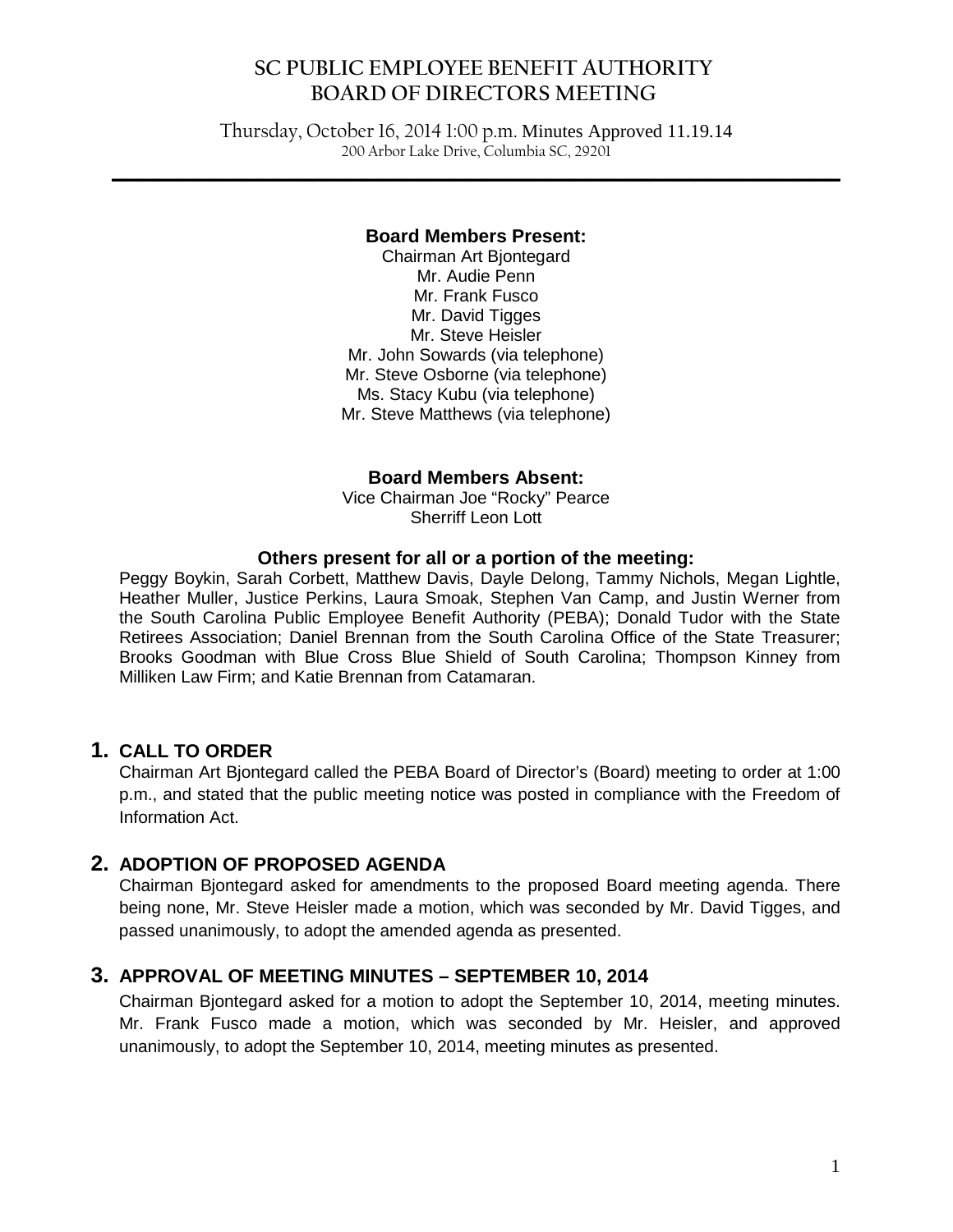# **SC PUBLIC EMPLOYEE BENEFIT AUTHORITY BOARD OF DIRECTORS MEETING**

Thursday, October 16, 2014 1:00 p.m. Minutes Approved 11.19.14 200 Arbor Lake Drive, Columbia SC, 29201

**\_\_\_\_\_\_\_\_\_\_\_\_\_\_\_\_\_\_\_\_\_\_\_\_\_\_\_\_\_\_\_\_\_\_\_\_\_\_\_\_\_\_\_\_\_\_\_\_\_\_\_\_\_\_\_\_\_\_\_\_\_\_\_\_\_\_\_\_\_\_\_\_\_\_\_\_\_\_**

#### **Board Members Present:**

Chairman Art Bjontegard Mr. Audie Penn Mr. Frank Fusco Mr. David Tigges Mr. Steve Heisler Mr. John Sowards (via telephone) Mr. Steve Osborne (via telephone) Ms. Stacy Kubu (via telephone) Mr. Steve Matthews (via telephone)

**Board Members Absent:**

Vice Chairman Joe "Rocky" Pearce Sherriff Leon Lott

#### **Others present for all or a portion of the meeting:**

Peggy Boykin, Sarah Corbett, Matthew Davis, Dayle Delong, Tammy Nichols, Megan Lightle, Heather Muller, Justice Perkins, Laura Smoak, Stephen Van Camp, and Justin Werner from the South Carolina Public Employee Benefit Authority (PEBA); Donald Tudor with the State Retirees Association; Daniel Brennan from the South Carolina Office of the State Treasurer; Brooks Goodman with Blue Cross Blue Shield of South Carolina; Thompson Kinney from Milliken Law Firm; and Katie Brennan from Catamaran.

#### **1. CALL TO ORDER**

Chairman Art Bjontegard called the PEBA Board of Director's (Board) meeting to order at 1:00 p.m., and stated that the public meeting notice was posted in compliance with the Freedom of Information Act.

#### **2. ADOPTION OF PROPOSED AGENDA**

Chairman Bjontegard asked for amendments to the proposed Board meeting agenda. There being none, Mr. Steve Heisler made a motion, which was seconded by Mr. David Tigges, and passed unanimously, to adopt the amended agenda as presented.

#### **3. APPROVAL OF MEETING MINUTES – SEPTEMBER 10, 2014**

Chairman Bjontegard asked for a motion to adopt the September 10, 2014, meeting minutes. Mr. Frank Fusco made a motion, which was seconded by Mr. Heisler, and approved unanimously, to adopt the September 10, 2014, meeting minutes as presented.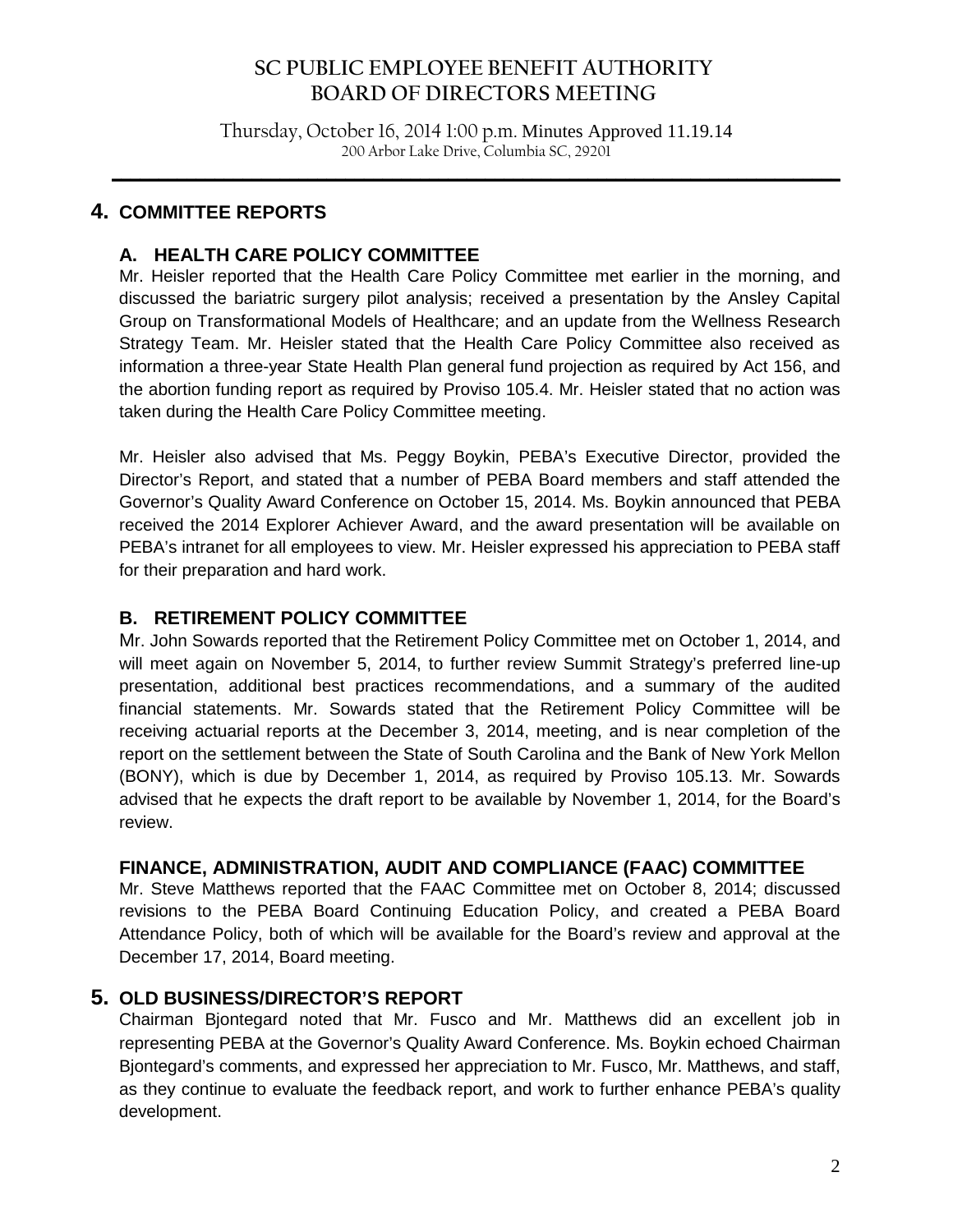# **SC PUBLIC EMPLOYEE BENEFIT AUTHORITY BOARD OF DIRECTORS MEETING**

Thursday, October 16, 2014 1:00 p.m. Minutes Approved 11.19.14 200 Arbor Lake Drive, Columbia SC, 29201

**\_\_\_\_\_\_\_\_\_\_\_\_\_\_\_\_\_\_\_\_\_\_\_\_\_\_\_\_\_\_\_\_\_\_\_\_\_\_\_\_\_\_\_\_\_\_\_\_\_\_\_\_\_\_\_\_\_\_\_\_\_\_\_\_\_\_\_\_\_\_\_\_\_\_\_\_\_\_**

# **4. COMMITTEE REPORTS**

# **A. HEALTH CARE POLICY COMMITTEE**

Mr. Heisler reported that the Health Care Policy Committee met earlier in the morning, and discussed the bariatric surgery pilot analysis; received a presentation by the Ansley Capital Group on Transformational Models of Healthcare; and an update from the Wellness Research Strategy Team. Mr. Heisler stated that the Health Care Policy Committee also received as information a three-year State Health Plan general fund projection as required by Act 156, and the abortion funding report as required by Proviso 105.4. Mr. Heisler stated that no action was taken during the Health Care Policy Committee meeting.

Mr. Heisler also advised that Ms. Peggy Boykin, PEBA's Executive Director, provided the Director's Report, and stated that a number of PEBA Board members and staff attended the Governor's Quality Award Conference on October 15, 2014. Ms. Boykin announced that PEBA received the 2014 Explorer Achiever Award, and the award presentation will be available on PEBA's intranet for all employees to view. Mr. Heisler expressed his appreciation to PEBA staff for their preparation and hard work.

## **B. RETIREMENT POLICY COMMITTEE**

Mr. John Sowards reported that the Retirement Policy Committee met on October 1, 2014, and will meet again on November 5, 2014, to further review Summit Strategy's preferred line-up presentation, additional best practices recommendations, and a summary of the audited financial statements. Mr. Sowards stated that the Retirement Policy Committee will be receiving actuarial reports at the December 3, 2014, meeting, and is near completion of the report on the settlement between the State of South Carolina and the Bank of New York Mellon (BONY), which is due by December 1, 2014, as required by Proviso 105.13. Mr. Sowards advised that he expects the draft report to be available by November 1, 2014, for the Board's review.

## **FINANCE, ADMINISTRATION, AUDIT AND COMPLIANCE (FAAC) COMMITTEE**

Mr. Steve Matthews reported that the FAAC Committee met on October 8, 2014; discussed revisions to the PEBA Board Continuing Education Policy, and created a PEBA Board Attendance Policy, both of which will be available for the Board's review and approval at the December 17, 2014, Board meeting.

## **5. OLD BUSINESS/DIRECTOR'S REPORT**

Chairman Bjontegard noted that Mr. Fusco and Mr. Matthews did an excellent job in representing PEBA at the Governor's Quality Award Conference. Ms. Boykin echoed Chairman Bjontegard's comments, and expressed her appreciation to Mr. Fusco, Mr. Matthews, and staff, as they continue to evaluate the feedback report, and work to further enhance PEBA's quality development.